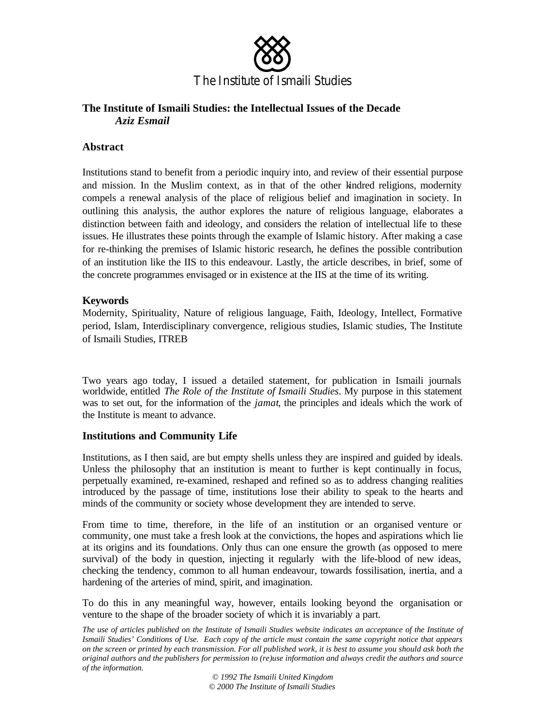

# **The Institute of Ismaili Studies: the Intellectual Issues of the Decade** *Aziz Esmail*

## **Abstract**

Institutions stand to benefit from a periodic inquiry into, and review of their essential purpose and mission. In the Muslim context, as in that of the other kindred religions, modernity compels a renewal analysis of the place of religious belief and imagination in society. In outlining this analysis, the author explores the nature of religious language, elaborates a distinction between faith and ideology, and considers the relation of intellectual life to these issues. He illustrates these points through the example of Islamic history. After making a case for re-thinking the premises of Islamic historic research, he defines the possible contribution of an institution like the IIS to this endeavour. Lastly, the article describes, in brief, some of the concrete programmes envisaged or in existence at the IIS at the time of its writing.

## **Keywords**

Modernity, Spirituality, Nature of religious language, Faith, Ideology, Intellect, Formative period, Islam, Interdisciplinary convergence, religious studies, Islamic studies, The Institute of Ismaili Studies, ITREB

Two years ago today, I issued a detailed statement, for publication in Ismaili journals worldwide, entitled *The Role of the Institute of Ismaili Studies*. My purpose in this statement was to set out, for the information of the *jamat*, the principles and ideals which the work of the Institute is meant to advance.

## **Institutions and Community Life**

Institutions, as I then said, are but empty shells unless they are inspired and guided by ideals. Unless the philosophy that an institution is meant to further is kept continually in focus, perpetually examined, re-examined, reshaped and refined so as to address changing realities introduced by the passage of time, institutions lose their ability to speak to the hearts and minds of the community or society whose development they are intended to serve.

From time to time, therefore, in the life of an institution or an organised venture or community, one must take a fresh look at the convictions, the hopes and aspirations which lie at its origins and its foundations. Only thus can one ensure the growth (as opposed to mere survival) of the body in question, injecting it regularly with the life-blood of new ideas, checking the tendency, common to all human endeavour, towards fossilisation, inertia, and a hardening of the arteries of mind, spirit, and imagination.

To do this in any meaningful way, however, entails looking beyond the organisation or venture to the shape of the broader society of which it is invariably a part.

*The use of articles published on the Institute of Ismaili Studies website indicates an acceptance of the Institute of Ismaili Studies' Conditions of Use. Each copy of the article must contain the same copyright notice that appears on the screen or printed by each transmission. For all published work, it is best to assume you should ask both the original authors and the publishers for permission to (re)use information and always credit the authors and source of the information.*

*© 1992 The Ismaili United Kingdom © 2000 The Institute of Ismaili Studies*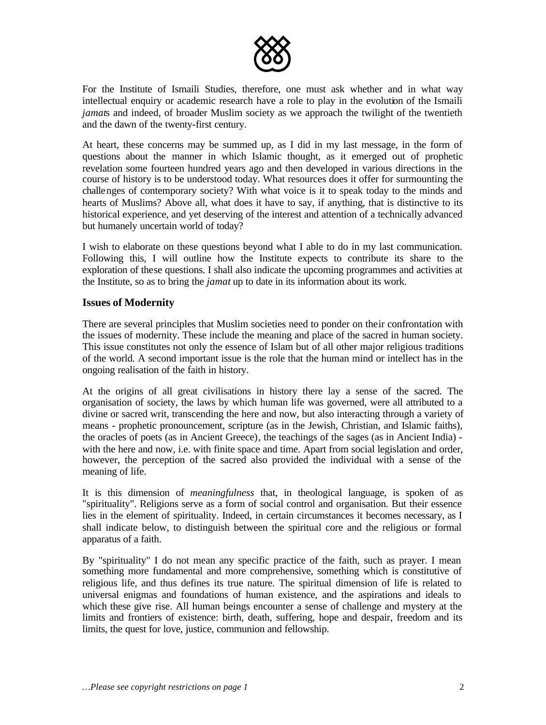

For the Institute of Ismaili Studies, therefore, one must ask whether and in what way intellectual enquiry or academic research have a role to play in the evolution of the Ismaili *jamat*s and indeed, of broader Muslim society as we approach the twilight of the twentieth and the dawn of the twenty-first century.

At heart, these concerns may be summed up, as I did in my last message, in the form of questions about the manner in which Islamic thought, as it emerged out of prophetic revelation some fourteen hundred years ago and then developed in various directions in the course of history is to be understood today. What resources does it offer for surmounting the challenges of contemporary society? With what voice is it to speak today to the minds and hearts of Muslims? Above all, what does it have to say, if anything, that is distinctive to its historical experience, and yet deserving of the interest and attention of a technically advanced but humanely uncertain world of today?

I wish to elaborate on these questions beyond what I able to do in my last communication. Following this, I will outline how the Institute expects to contribute its share to the exploration of these questions. I shall also indicate the upcoming programmes and activities at the Institute, so as to bring the *jamat* up to date in its information about its work.

### **Issues of Modernity**

There are several principles that Muslim societies need to ponder on their confrontation with the issues of modernity. These include the meaning and place of the sacred in human society. This issue constitutes not only the essence of Islam but of all other major religious traditions of the world. A second important issue is the role that the human mind or intellect has in the ongoing realisation of the faith in history.

At the origins of all great civilisations in history there lay a sense of the sacred. The organisation of society, the laws by which human life was governed, were all attributed to a divine or sacred writ, transcending the here and now, but also interacting through a variety of means - prophetic pronouncement, scripture (as in the Jewish, Christian, and Islamic faiths), the oracles of poets (as in Ancient Greece), the teachings of the sages (as in Ancient India) with the here and now, i.e. with finite space and time. Apart from social legislation and order, however, the perception of the sacred also provided the individual with a sense of the meaning of life.

It is this dimension of *meaningfulness* that, in theological language, is spoken of as "spirituality". Religions serve as a form of social control and organisation. But their essence lies in the element of spirituality. Indeed, in certain circumstances it becomes necessary, as I shall indicate below, to distinguish between the spiritual core and the religious or formal apparatus of a faith.

By "spirituality" I do not mean any specific practice of the faith, such as prayer. I mean something more fundamental and more comprehensive, something which is constitutive of religious life, and thus defines its true nature. The spiritual dimension of life is related to universal enigmas and foundations of human existence, and the aspirations and ideals to which these give rise. All human beings encounter a sense of challenge and mystery at the limits and frontiers of existence: birth, death, suffering, hope and despair, freedom and its limits, the quest for love, justice, communion and fellowship.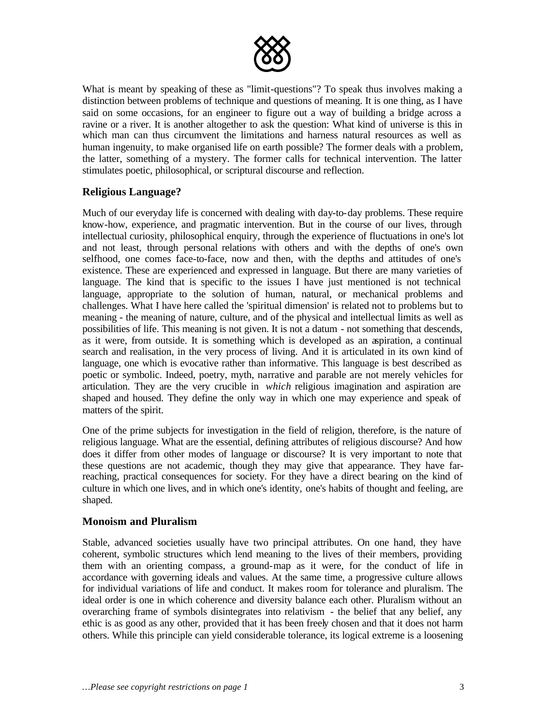

What is meant by speaking of these as "limit-questions"? To speak thus involves making a distinction between problems of technique and questions of meaning. It is one thing, as I have said on some occasions, for an engineer to figure out a way of building a bridge across a ravine or a river. It is another altogether to ask the question: What kind of universe is this in which man can thus circumvent the limitations and harness natural resources as well as human ingenuity, to make organised life on earth possible? The former deals with a problem, the latter, something of a mystery. The former calls for technical intervention. The latter stimulates poetic, philosophical, or scriptural discourse and reflection.

# **Religious Language?**

Much of our everyday life is concerned with dealing with day-to-day problems. These require know-how, experience, and pragmatic intervention. But in the course of our lives, through intellectual curiosity, philosophical enquiry, through the experience of fluctuations in one's lot and not least, through personal relations with others and with the depths of one's own selfhood, one comes face-to-face, now and then, with the depths and attitudes of one's existence. These are experienced and expressed in language. But there are many varieties of language. The kind that is specific to the issues I have just mentioned is not technical language, appropriate to the solution of human, natural, or mechanical problems and challenges. What I have here called the 'spiritual dimension' is related not to problems but to meaning - the meaning of nature, culture, and of the physical and intellectual limits as well as possibilities of life. This meaning is not given. It is not a datum - not something that descends, as it were, from outside. It is something which is developed as an aspiration, a continual search and realisation, in the very process of living. And it is articulated in its own kind of language, one which is evocative rather than informative. This language is best described as poetic or symbolic. Indeed, poetry, myth, narrative and parable are not merely vehicles for articulation. They are the very crucible in *which* religious imagination and aspiration are shaped and housed. They define the only way in which one may experience and speak of matters of the spirit.

One of the prime subjects for investigation in the field of religion, therefore, is the nature of religious language. What are the essential, defining attributes of religious discourse? And how does it differ from other modes of language or discourse? It is very important to note that these questions are not academic, though they may give that appearance. They have farreaching, practical consequences for society. For they have a direct bearing on the kind of culture in which one lives, and in which one's identity, one's habits of thought and feeling, are shaped.

## **Monoism and Pluralism**

Stable, advanced societies usually have two principal attributes. On one hand, they have coherent, symbolic structures which lend meaning to the lives of their members, providing them with an orienting compass, a ground-map as it were, for the conduct of life in accordance with governing ideals and values. At the same time, a progressive culture allows for individual variations of life and conduct. It makes room for tolerance and pluralism. The ideal order is one in which coherence and diversity balance each other. Pluralism without an overarching frame of symbols disintegrates into relativism - the belief that any belief, any ethic is as good as any other, provided that it has been freely chosen and that it does not harm others. While this principle can yield considerable tolerance, its logical extreme is a loosening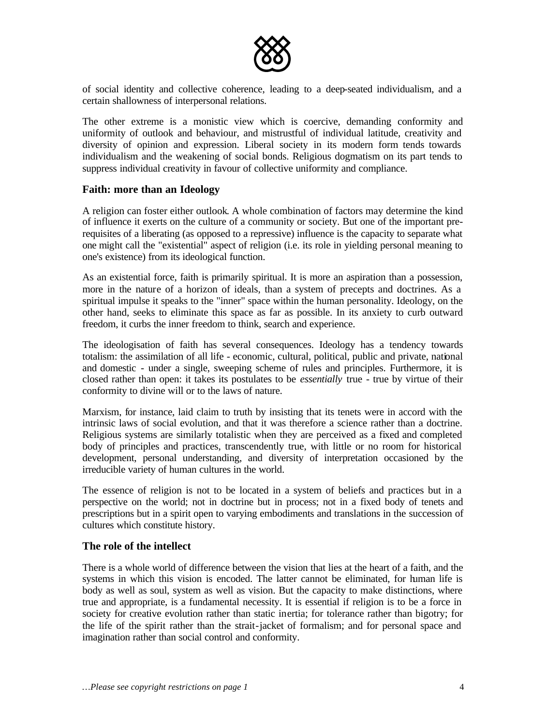

of social identity and collective coherence, leading to a deep-seated individualism, and a certain shallowness of interpersonal relations.

The other extreme is a monistic view which is coercive, demanding conformity and uniformity of outlook and behaviour, and mistrustful of individual latitude, creativity and diversity of opinion and expression. Liberal society in its modern form tends towards individualism and the weakening of social bonds. Religious dogmatism on its part tends to suppress individual creativity in favour of collective uniformity and compliance.

#### **Faith: more than an Ideology**

A religion can foster either outlook. A whole combination of factors may determine the kind of influence it exerts on the culture of a community or society. But one of the important prerequisites of a liberating (as opposed to a repressive) influence is the capacity to separate what one might call the "existential" aspect of religion (i.e. its role in yielding personal meaning to one's existence) from its ideological function.

As an existential force, faith is primarily spiritual. It is more an aspiration than a possession, more in the nature of a horizon of ideals, than a system of precepts and doctrines. As a spiritual impulse it speaks to the "inner" space within the human personality. Ideology, on the other hand, seeks to eliminate this space as far as possible. In its anxiety to curb outward freedom, it curbs the inner freedom to think, search and experience.

The ideologisation of faith has several consequences. Ideology has a tendency towards totalism: the assimilation of all life - economic, cultural, political, public and private, national and domestic - under a single, sweeping scheme of rules and principles. Furthermore, it is closed rather than open: it takes its postulates to be *essentially* true - true by virtue of their conformity to divine will or to the laws of nature.

Marxism, for instance, laid claim to truth by insisting that its tenets were in accord with the intrinsic laws of social evolution, and that it was therefore a science rather than a doctrine. Religious systems are similarly totalistic when they are perceived as a fixed and completed body of principles and practices, transcendently true, with little or no room for historical development, personal understanding, and diversity of interpretation occasioned by the irreducible variety of human cultures in the world.

The essence of religion is not to be located in a system of beliefs and practices but in a perspective on the world; not in doctrine but in process; not in a fixed body of tenets and prescriptions but in a spirit open to varying embodiments and translations in the succession of cultures which constitute history.

#### **The role of the intellect**

There is a whole world of difference between the vision that lies at the heart of a faith, and the systems in which this vision is encoded. The latter cannot be eliminated, for human life is body as well as soul, system as well as vision. But the capacity to make distinctions, where true and appropriate, is a fundamental necessity. It is essential if religion is to be a force in society for creative evolution rather than static inertia; for tolerance rather than bigotry; for the life of the spirit rather than the strait-jacket of formalism; and for personal space and imagination rather than social control and conformity.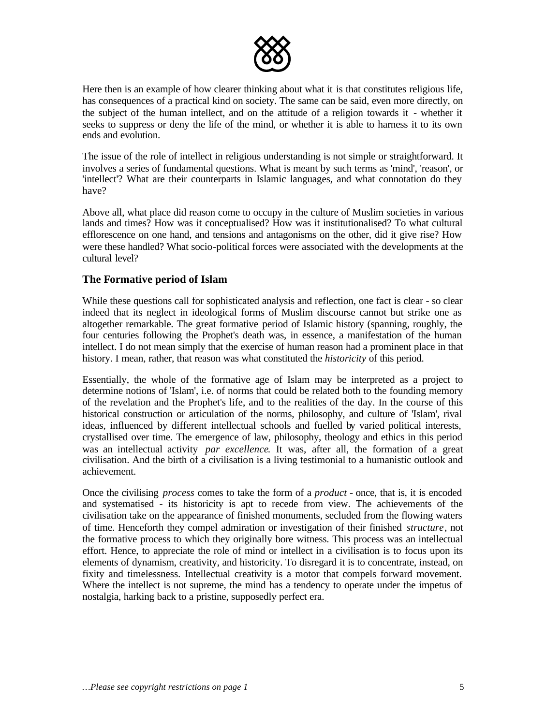

Here then is an example of how clearer thinking about what it is that constitutes religious life, has consequences of a practical kind on society. The same can be said, even more directly, on the subject of the human intellect, and on the attitude of a religion towards it - whether it seeks to suppress or deny the life of the mind, or whether it is able to harness it to its own ends and evolution.

The issue of the role of intellect in religious understanding is not simple or straightforward. It involves a series of fundamental questions. What is meant by such terms as 'mind', 'reason', or 'intellect'? What are their counterparts in Islamic languages, and what connotation do they have?

Above all, what place did reason come to occupy in the culture of Muslim societies in various lands and times? How was it conceptualised? How was it institutionalised? To what cultural efflorescence on one hand, and tensions and antagonisms on the other, did it give rise? How were these handled? What socio-political forces were associated with the developments at the cultural level?

## **The Formative period of Islam**

While these questions call for sophisticated analysis and reflection, one fact is clear - so clear indeed that its neglect in ideological forms of Muslim discourse cannot but strike one as altogether remarkable. The great formative period of Islamic history (spanning, roughly, the four centuries following the Prophet's death was, in essence, a manifestation of the human intellect. I do not mean simply that the exercise of human reason had a prominent place in that history. I mean, rather, that reason was what constituted the *historicity* of this period.

Essentially, the whole of the formative age of Islam may be interpreted as a project to determine notions of 'Islam', i.e. of norms that could be related both to the founding memory of the revelation and the Prophet's life, and to the realities of the day. In the course of this historical construction or articulation of the norms, philosophy, and culture of 'Islam', rival ideas, influenced by different intellectual schools and fuelled by varied political interests, crystallised over time. The emergence of law, philosophy, theology and ethics in this period was an intellectual activity *par excellence*. It was, after all, the formation of a great civilisation. And the birth of a civilisation is a living testimonial to a humanistic outlook and achievement.

Once the civilising *process* comes to take the form of a *product* - once, that is, it is encoded and systematised - its historicity is apt to recede from view. The achievements of the civilisation take on the appearance of finished monuments, secluded from the flowing waters of time. Henceforth they compel admiration or investigation of their finished *structure*, not the formative process to which they originally bore witness. This process was an intellectual effort. Hence, to appreciate the role of mind or intellect in a civilisation is to focus upon its elements of dynamism, creativity, and historicity. To disregard it is to concentrate, instead, on fixity and timelessness. Intellectual creativity is a motor that compels forward movement. Where the intellect is not supreme, the mind has a tendency to operate under the impetus of nostalgia, harking back to a pristine, supposedly perfect era.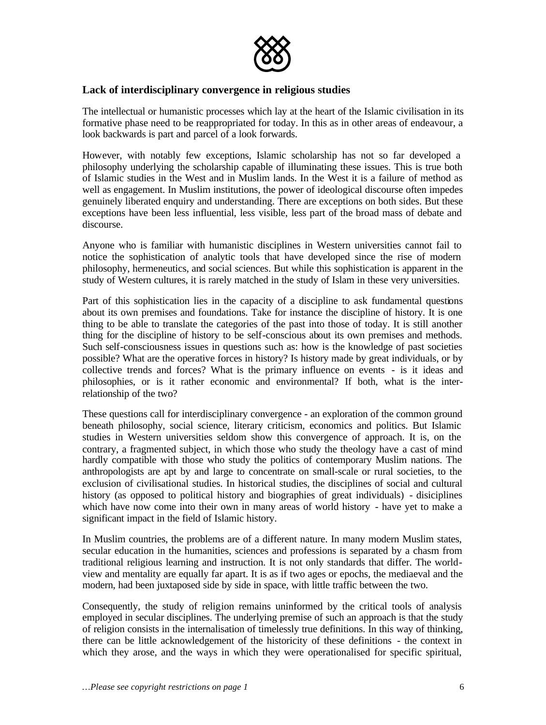

### **Lack of interdisciplinary convergence in religious studies**

The intellectual or humanistic processes which lay at the heart of the Islamic civilisation in its formative phase need to be reappropriated for today. In this as in other areas of endeavour, a look backwards is part and parcel of a look forwards.

However, with notably few exceptions, Islamic scholarship has not so far developed a philosophy underlying the scholarship capable of illuminating these issues. This is true both of Islamic studies in the West and in Muslim lands. In the West it is a failure of method as well as engagement. In Muslim institutions, the power of ideological discourse often impedes genuinely liberated enquiry and understanding. There are exceptions on both sides. But these exceptions have been less influential, less visible, less part of the broad mass of debate and discourse.

Anyone who is familiar with humanistic disciplines in Western universities cannot fail to notice the sophistication of analytic tools that have developed since the rise of modern philosophy, hermeneutics, and social sciences. But while this sophistication is apparent in the study of Western cultures, it is rarely matched in the study of Islam in these very universities.

Part of this sophistication lies in the capacity of a discipline to ask fundamental questions about its own premises and foundations. Take for instance the discipline of history. It is one thing to be able to translate the categories of the past into those of today. It is still another thing for the discipline of history to be self-conscious about its own premises and methods. Such self-consciousness issues in questions such as: how is the knowledge of past societies possible? What are the operative forces in history? Is history made by great individuals, or by collective trends and forces? What is the primary influence on events - is it ideas and philosophies, or is it rather economic and environmental? If both, what is the interrelationship of the two?

These questions call for interdisciplinary convergence - an exploration of the common ground beneath philosophy, social science, literary criticism, economics and politics. But Islamic studies in Western universities seldom show this convergence of approach. It is, on the contrary, a fragmented subject, in which those who study the theology have a cast of mind hardly compatible with those who study the politics of contemporary Muslim nations. The anthropologists are apt by and large to concentrate on small-scale or rural societies, to the exclusion of civilisational studies. In historical studies, the disciplines of social and cultural history (as opposed to political history and biographies of great individuals) - disiciplines which have now come into their own in many areas of world history - have yet to make a significant impact in the field of Islamic history.

In Muslim countries, the problems are of a different nature. In many modern Muslim states, secular education in the humanities, sciences and professions is separated by a chasm from traditional religious learning and instruction. It is not only standards that differ. The worldview and mentality are equally far apart. It is as if two ages or epochs, the mediaeval and the modern, had been juxtaposed side by side in space, with little traffic between the two.

Consequently, the study of religion remains uninformed by the critical tools of analysis employed in secular disciplines. The underlying premise of such an approach is that the study of religion consists in the internalisation of timelessly true definitions. In this way of thinking, there can be little acknowledgement of the historicity of these definitions - the context in which they arose, and the ways in which they were operationalised for specific spiritual,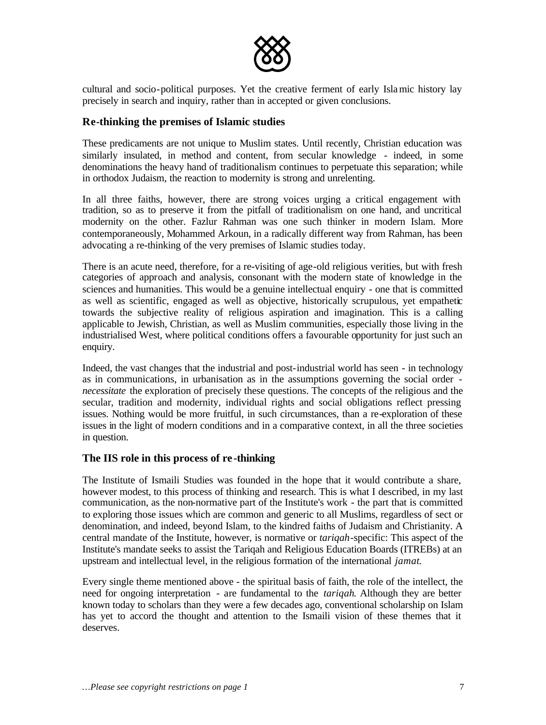

cultural and socio-political purposes. Yet the creative ferment of early Islamic history lay precisely in search and inquiry, rather than in accepted or given conclusions.

### **Re-thinking the premises of Islamic studies**

These predicaments are not unique to Muslim states. Until recently, Christian education was similarly insulated, in method and content, from secular knowledge - indeed, in some denominations the heavy hand of traditionalism continues to perpetuate this separation; while in orthodox Judaism, the reaction to modernity is strong and unrelenting.

In all three faiths, however, there are strong voices urging a critical engagement with tradition, so as to preserve it from the pitfall of traditionalism on one hand, and uncritical modernity on the other. Fazlur Rahman was one such thinker in modern Islam. More contemporaneously, Mohammed Arkoun, in a radically different way from Rahman, has been advocating a re-thinking of the very premises of Islamic studies today.

There is an acute need, therefore, for a re-visiting of age-old religious verities, but with fresh categories of approach and analysis, consonant with the modern state of knowledge in the sciences and humanities. This would be a genuine intellectual enquiry - one that is committed as well as scientific, engaged as well as objective, historically scrupulous, yet empathetic towards the subjective reality of religious aspiration and imagination. This is a calling applicable to Jewish, Christian, as well as Muslim communities, especially those living in the industrialised West, where political conditions offers a favourable opportunity for just such an enquiry.

Indeed, the vast changes that the industrial and post-industrial world has seen - in technology as in communications, in urbanisation as in the assumptions governing the social order *necessitate* the exploration of precisely these questions. The concepts of the religious and the secular, tradition and modernity, individual rights and social obligations reflect pressing issues. Nothing would be more fruitful, in such circumstances, than a re-exploration of these issues in the light of modern conditions and in a comparative context, in all the three societies in question.

#### **The IIS role in this process of re -thinking**

The Institute of Ismaili Studies was founded in the hope that it would contribute a share, however modest, to this process of thinking and research. This is what I described, in my last communication, as the non-normative part of the Institute's work - the part that is committed to exploring those issues which are common and generic to all Muslims, regardless of sect or denomination, and indeed, beyond Islam, to the kindred faiths of Judaism and Christianity. A central mandate of the Institute, however, is normative or *tariqah*-specific: This aspect of the Institute's mandate seeks to assist the Tariqah and Religious Education Boards (ITREBs) at an upstream and intellectual level, in the religious formation of the international *jamat*.

Every single theme mentioned above - the spiritual basis of faith, the role of the intellect, the need for ongoing interpretation - are fundamental to the *tariqah*. Although they are better known today to scholars than they were a few decades ago, conventional scholarship on Islam has yet to accord the thought and attention to the Ismaili vision of these themes that it deserves.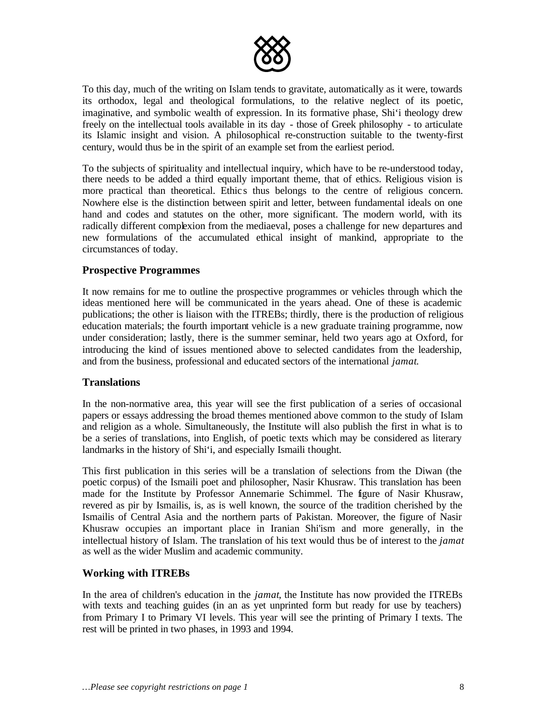

To this day, much of the writing on Islam tends to gravitate, automatically as it were, towards its orthodox, legal and theological formulations, to the relative neglect of its poetic, imaginative, and symbolic wealth of expression. In its formative phase, Shi'i theology drew freely on the intellectual tools available in its day - those of Greek philosophy - to articulate its Islamic insight and vision. A philosophical re-construction suitable to the twenty-first century, would thus be in the spirit of an example set from the earliest period.

To the subjects of spirituality and intellectual inquiry, which have to be re-understood today, there needs to be added a third equally important theme, that of ethics. Religious vision is more practical than theoretical. Ethics thus belongs to the centre of religious concern. Nowhere else is the distinction between spirit and letter, between fundamental ideals on one hand and codes and statutes on the other, more significant. The modern world, with its radically different complexion from the mediaeval, poses a challenge for new departures and new formulations of the accumulated ethical insight of mankind, appropriate to the circumstances of today.

### **Prospective Programmes**

It now remains for me to outline the prospective programmes or vehicles through which the ideas mentioned here will be communicated in the years ahead. One of these is academic publications; the other is liaison with the ITREBs; thirdly, there is the production of religious education materials; the fourth important vehicle is a new graduate training programme, now under consideration; lastly, there is the summer seminar, held two years ago at Oxford, for introducing the kind of issues mentioned above to selected candidates from the leadership, and from the business, professional and educated sectors of the international *jamat*.

#### **Translations**

In the non-normative area, this year will see the first publication of a series of occasional papers or essays addressing the broad themes mentioned above common to the study of Islam and religion as a whole. Simultaneously, the Institute will also publish the first in what is to be a series of translations, into English, of poetic texts which may be considered as literary landmarks in the history of Shi'i, and especially Ismaili thought.

This first publication in this series will be a translation of selections from the Diwan (the poetic corpus) of the Ismaili poet and philosopher, Nasir Khusraw. This translation has been made for the Institute by Professor Annemarie Schimmel. The figure of Nasir Khusraw, revered as pir by Ismailis, is, as is well known, the source of the tradition cherished by the Ismailis of Central Asia and the northern parts of Pakistan. Moreover, the figure of Nasir Khusraw occupies an important place in Iranian Shi'ism and more generally, in the intellectual history of Islam. The translation of his text would thus be of interest to the *jamat* as well as the wider Muslim and academic community.

## **Working with ITREBs**

In the area of children's education in the *jamat*, the Institute has now provided the ITREBs with texts and teaching guides (in an as yet unprinted form but ready for use by teachers) from Primary I to Primary VI levels. This year will see the printing of Primary I texts. The rest will be printed in two phases, in 1993 and 1994.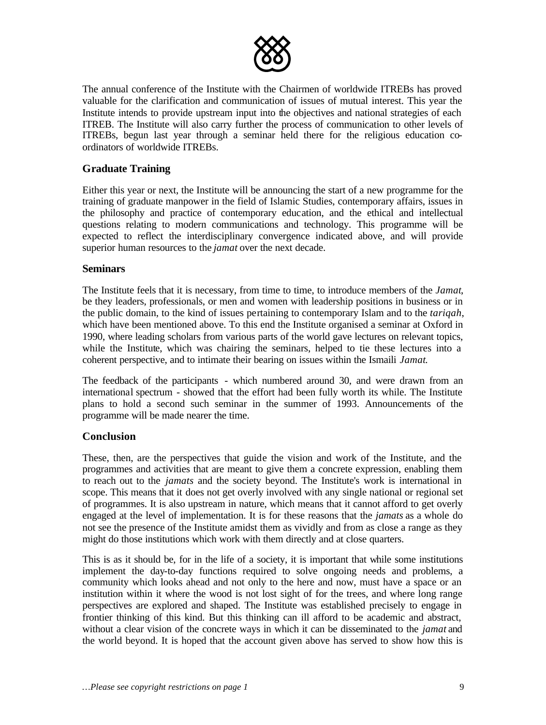

The annual conference of the Institute with the Chairmen of worldwide ITREBs has proved valuable for the clarification and communication of issues of mutual interest. This year the Institute intends to provide upstream input into the objectives and national strategies of each ITREB. The Institute will also carry further the process of communication to other levels of ITREBs, begun last year through a seminar held there for the religious education coordinators of worldwide ITREBs.

## **Graduate Training**

Either this year or next, the Institute will be announcing the start of a new programme for the training of graduate manpower in the field of Islamic Studies, contemporary affairs, issues in the philosophy and practice of contemporary education, and the ethical and intellectual questions relating to modern communications and technology. This programme will be expected to reflect the interdisciplinary convergence indicated above, and will provide superior human resources to the *jamat* over the next decade.

### **Seminars**

The Institute feels that it is necessary, from time to time, to introduce members of the *Jamat*, be they leaders, professionals, or men and women with leadership positions in business or in the public domain, to the kind of issues pertaining to contemporary Islam and to the *tariqah*, which have been mentioned above. To this end the Institute organised a seminar at Oxford in 1990, where leading scholars from various parts of the world gave lectures on relevant topics, while the Institute, which was chairing the seminars, helped to tie these lectures into a coherent perspective, and to intimate their bearing on issues within the Ismaili *Jamat*.

The feedback of the participants - which numbered around 30, and were drawn from an international spectrum - showed that the effort had been fully worth its while. The Institute plans to hold a second such seminar in the summer of 1993. Announcements of the programme will be made nearer the time.

## **Conclusion**

These, then, are the perspectives that guide the vision and work of the Institute, and the programmes and activities that are meant to give them a concrete expression, enabling them to reach out to the *jamats* and the society beyond. The Institute's work is international in scope. This means that it does not get overly involved with any single national or regional set of programmes. It is also upstream in nature, which means that it cannot afford to get overly engaged at the level of implementation. It is for these reasons that the *jamats* as a whole do not see the presence of the Institute amidst them as vividly and from as close a range as they might do those institutions which work with them directly and at close quarters.

This is as it should be, for in the life of a society, it is important that while some institutions implement the day-to-day functions required to solve ongoing needs and problems, a community which looks ahead and not only to the here and now, must have a space or an institution within it where the wood is not lost sight of for the trees, and where long range perspectives are explored and shaped. The Institute was established precisely to engage in frontier thinking of this kind. But this thinking can ill afford to be academic and abstract, without a clear vision of the concrete ways in which it can be disseminated to the *jamat* and the world beyond. It is hoped that the account given above has served to show how this is